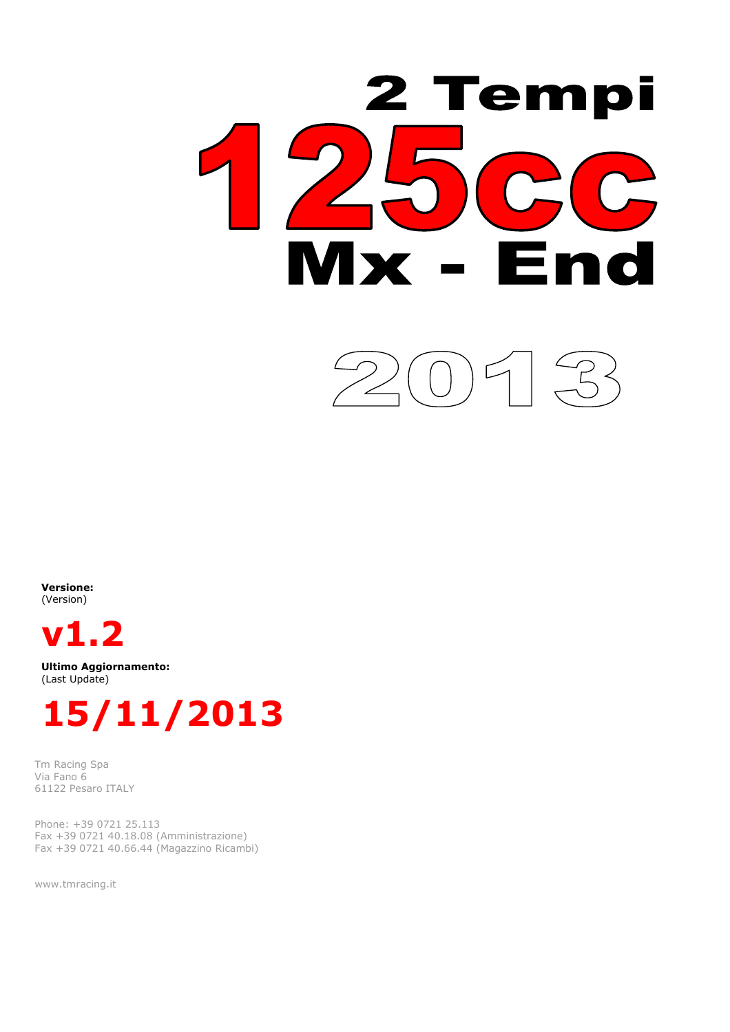

Versione: (Version)



Ultimo Aggiornamento: (Last Update)



Tm Racing Spa Via Fano 6 61122 Pesaro ITALY

Phone: +39 0721 25.113 Fax +39 0721 40.18.08 (Amministrazione) Fax +39 0721 40.66.44 (Magazzino Ricambi)

www.tmracing.it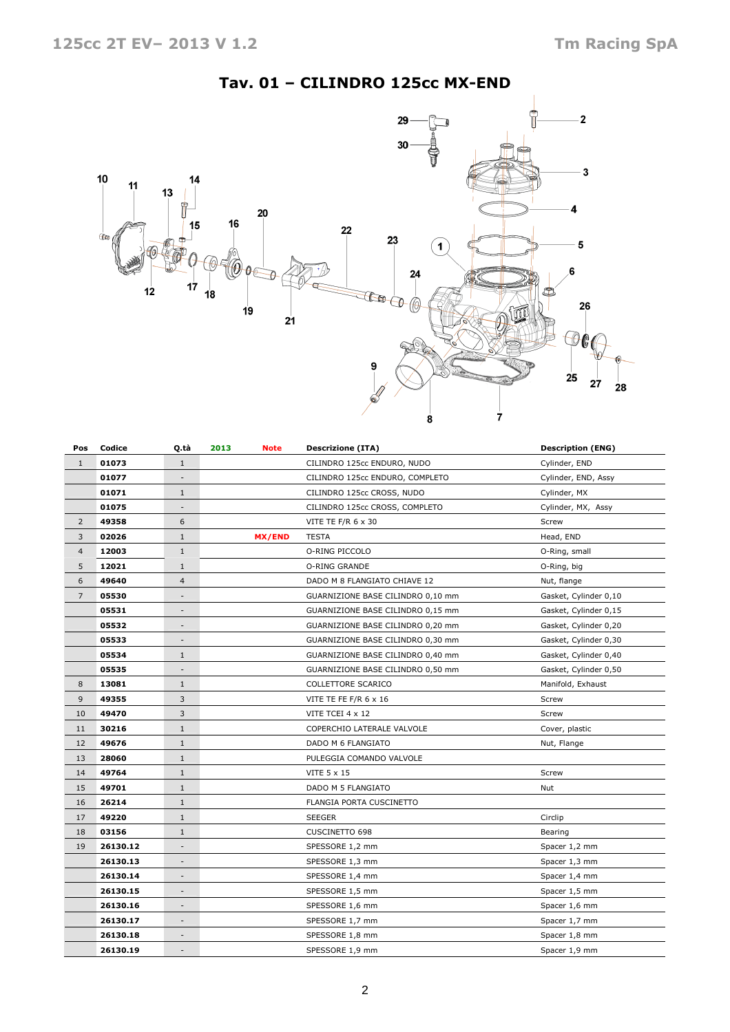## Tav. 01 – CILINDRO 125cc MX-END



| Pos            | Codice   | Q.tà<br>2013<br>Note     |               | <b>Descrizione (ITA)</b>          | <b>Description (ENG)</b> |
|----------------|----------|--------------------------|---------------|-----------------------------------|--------------------------|
| $\mathbf{1}$   | 01073    | $\mathbf{1}$             |               | CILINDRO 125cc ENDURO, NUDO       | Cylinder, END            |
|                | 01077    |                          |               | CILINDRO 125cc ENDURO, COMPLETO   | Cylinder, END, Assy      |
|                | 01071    | $\mathbf{1}$             |               | CILINDRO 125cc CROSS, NUDO        | Cylinder, MX             |
|                | 01075    | $\overline{\phantom{a}}$ |               | CILINDRO 125cc CROSS, COMPLETO    | Cylinder, MX, Assy       |
| $\overline{2}$ | 49358    | 6                        |               | VITE TE F/R 6 x 30                | Screw                    |
| 3              | 02026    | $1\,$                    | <b>MX/END</b> | <b>TESTA</b>                      | Head, END                |
| $\overline{4}$ | 12003    | $\mathbf{1}$             |               | O-RING PICCOLO                    | O-Ring, small            |
| 5              | 12021    | $\mathbf{1}$             |               | O-RING GRANDE                     | O-Ring, big              |
| 6              | 49640    | $\overline{4}$           |               | DADO M 8 FLANGIATO CHIAVE 12      | Nut, flange              |
| $\overline{7}$ | 05530    | $\overline{\phantom{a}}$ |               | GUARNIZIONE BASE CILINDRO 0,10 mm | Gasket, Cylinder 0,10    |
|                | 05531    | $\overline{\phantom{a}}$ |               | GUARNIZIONE BASE CILINDRO 0,15 mm | Gasket, Cylinder 0,15    |
|                | 05532    | $\overline{\phantom{a}}$ |               | GUARNIZIONE BASE CILINDRO 0,20 mm | Gasket, Cylinder 0,20    |
|                | 05533    | $\overline{\phantom{a}}$ |               | GUARNIZIONE BASE CILINDRO 0,30 mm | Gasket, Cylinder 0,30    |
|                | 05534    | $\mathbf{1}$             |               | GUARNIZIONE BASE CILINDRO 0,40 mm | Gasket, Cylinder 0,40    |
|                | 05535    |                          |               | GUARNIZIONE BASE CILINDRO 0,50 mm | Gasket, Cylinder 0,50    |
| 8              | 13081    | $1\,$                    |               | COLLETTORE SCARICO                | Manifold, Exhaust        |
| 9              | 49355    | 3                        |               | VITE TE FE F/R 6 x 16             | Screw                    |
| 10             | 49470    | 3                        |               | VITE TCEI 4 x 12                  | Screw                    |
| 11             | 30216    | $\mathbf{1}$             |               | COPERCHIO LATERALE VALVOLE        | Cover, plastic           |
| 12             | 49676    | $\mathbf{1}$             |               | DADO M 6 FLANGIATO                | Nut, Flange              |
| 13             | 28060    | $\mathbf{1}$             |               | PULEGGIA COMANDO VALVOLE          |                          |
| 14             | 49764    | $\mathbf{1}$             |               | VITE 5 x 15                       | Screw                    |
| 15             | 49701    | $\mathbf{1}$             |               | DADO M 5 FLANGIATO                | Nut                      |
| 16             | 26214    | $1\,$                    |               | FLANGIA PORTA CUSCINETTO          |                          |
| 17             | 49220    | $\mathbf{1}$             |               | SEEGER                            | Circlip                  |
| 18             | 03156    | $\mathbf{1}$             |               | <b>CUSCINETTO 698</b>             | Bearing                  |
| 19             | 26130.12 | $\overline{\phantom{a}}$ |               | SPESSORE 1,2 mm                   | Spacer 1,2 mm            |
|                | 26130.13 | $\overline{\phantom{a}}$ |               | SPESSORE 1,3 mm                   | Spacer 1,3 mm            |
|                | 26130.14 | -                        |               | SPESSORE 1,4 mm                   | Spacer 1,4 mm            |
|                | 26130.15 | $\overline{\phantom{a}}$ |               | SPESSORE 1,5 mm                   | Spacer 1,5 mm            |
|                | 26130.16 | $\overline{\phantom{a}}$ |               | SPESSORE 1,6 mm                   | Spacer 1,6 mm            |
|                | 26130.17 | $\overline{\phantom{a}}$ |               | SPESSORE 1,7 mm                   | Spacer 1,7 mm            |
|                | 26130.18 |                          |               | SPESSORE 1,8 mm                   | Spacer 1,8 mm            |
|                | 26130.19 |                          |               | SPESSORE 1,9 mm                   | Spacer 1,9 mm            |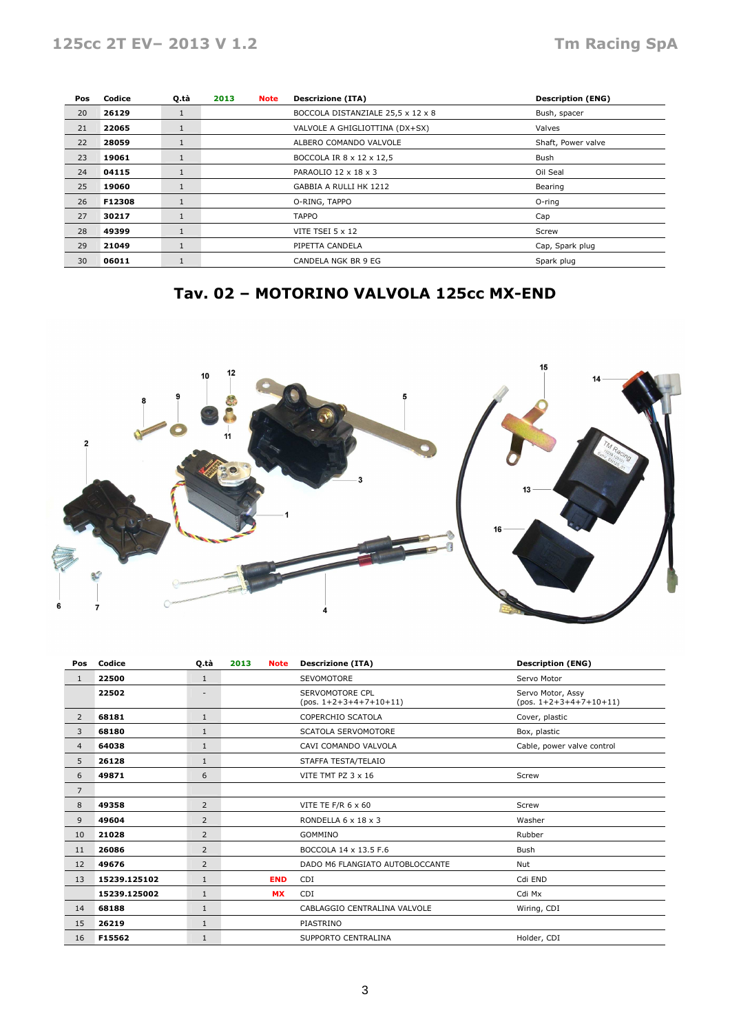| Pos | Codice | Q.tà         | 2013<br><b>Note</b> |                                    | <b>Descrizione (ITA)</b>          | <b>Description (ENG)</b> |
|-----|--------|--------------|---------------------|------------------------------------|-----------------------------------|--------------------------|
| 20  | 26129  | 1            |                     |                                    | BOCCOLA DISTANZIALE 25,5 x 12 x 8 | Bush, spacer             |
| 21  | 22065  | $\mathbf{1}$ |                     |                                    | VALVOLE A GHIGLIOTTINA (DX+SX)    | Valves                   |
| 22  | 28059  | 1            |                     | ALBERO COMANDO VALVOLE             |                                   | Shaft, Power valve       |
| 23  | 19061  | 1            |                     | BOCCOLA IR 8 x 12 x 12,5<br>Bush   |                                   |                          |
| 24  | 04115  | 1            |                     |                                    | PARAOLIO 12 x 18 x 3              | Oil Seal                 |
| 25  | 19060  | $\mathbf{1}$ |                     |                                    | GABBIA A RULLI HK 1212            | Bearing                  |
| 26  | F12308 | 1            |                     |                                    | O-RING, TAPPO                     | O-ring                   |
| 27  | 30217  | 1            |                     |                                    | <b>TAPPO</b>                      | Cap                      |
| 28  | 49399  | <b>T</b>     |                     |                                    | VITE TSEI 5 x 12                  | Screw                    |
| 29  | 21049  | 1            |                     | PIPETTA CANDELA<br>Cap, Spark plug |                                   |                          |
| 30  | 06011  | ш            |                     | CANDELA NGK BR 9 EG                |                                   | Spark plug               |

# Tav. 02 – MOTORINO VALVOLA 125cc MX-END



| Pos            | Codice       | Q.tà           | 2013<br><b>Note</b> | <b>Descrizione (ITA)</b>                    | <b>Description (ENG)</b>                      |
|----------------|--------------|----------------|---------------------|---------------------------------------------|-----------------------------------------------|
| $\mathbf{1}$   | 22500        | $\mathbf{1}$   |                     | <b>SEVOMOTORE</b>                           | Servo Motor                                   |
|                | 22502        | ۰              |                     | SERVOMOTORE CPL<br>$(pos. 1+2+3+4+7+10+11)$ | Servo Motor, Assy<br>$(pos. 1+2+3+4+7+10+11)$ |
| $\overline{2}$ | 68181        | $\mathbf{1}$   |                     | COPERCHIO SCATOLA                           | Cover, plastic                                |
| 3              | 68180        | $\mathbf{1}$   |                     | <b>SCATOLA SERVOMOTORE</b>                  | Box, plastic                                  |
| $\overline{4}$ | 64038        | $\mathbf{1}$   |                     | CAVI COMANDO VALVOLA                        | Cable, power valve control                    |
| 5              | 26128        | $\mathbf{1}$   |                     | STAFFA TESTA/TELAIO                         |                                               |
| 6              | 49871        | 6              |                     | VITE TMT PZ 3 x 16                          | Screw                                         |
| $\overline{7}$ |              |                |                     |                                             |                                               |
| 8              | 49358        | $\overline{2}$ |                     | VITE TE F/R $6 \times 60$                   | Screw                                         |
| 9              | 49604        | $\overline{2}$ |                     | RONDELLA 6 x 18 x 3                         | Washer                                        |
| 10             | 21028        | $\overline{2}$ |                     | <b>GOMMINO</b>                              | Rubber                                        |
| 11             | 26086        | $\overline{2}$ |                     | BOCCOLA 14 x 13.5 F.6                       | Bush                                          |
| 12             | 49676        | $\overline{2}$ |                     | DADO M6 FLANGIATO AUTOBLOCCANTE             | Nut                                           |
| 13             | 15239.125102 | $\mathbf{1}$   | <b>END</b>          | <b>CDI</b>                                  | Cdi END                                       |
|                | 15239.125002 | $\mathbf{1}$   | <b>MX</b>           | CDI                                         | Cdi Mx                                        |
| 14             | 68188        | $\mathbf{1}$   |                     | CABLAGGIO CENTRALINA VALVOLE                | Wiring, CDI                                   |
| 15             | 26219        | $\mathbf{1}$   |                     | PIASTRINO                                   |                                               |
| 16             | F15562       | $\mathbf{1}$   |                     | SUPPORTO CENTRALINA                         | Holder, CDI                                   |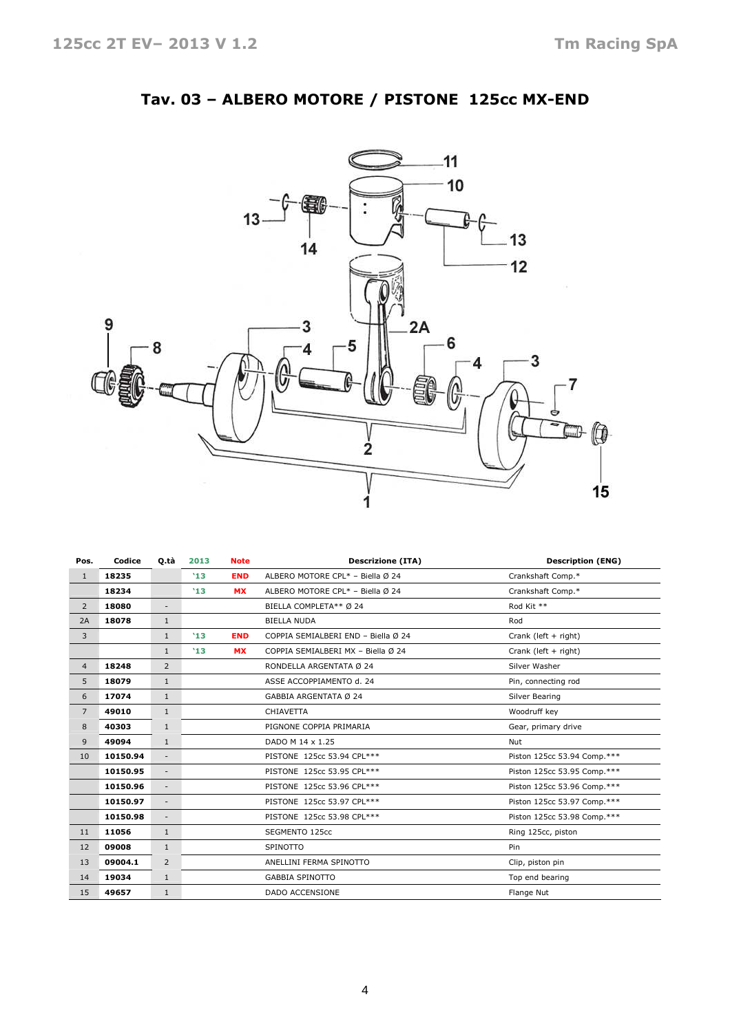

## Tav. 03 – ALBERO MOTORE / PISTONE 125cc MX-END

| Pos.           | Codice   | Q tà                     | 2013 | <b>Note</b>                | <b>Descrizione (ITA)</b>            | <b>Description (ENG)</b>    |
|----------------|----------|--------------------------|------|----------------------------|-------------------------------------|-----------------------------|
| $\mathbf{1}$   | 18235    |                          | '13  | <b>END</b>                 | ALBERO MOTORE CPL* - Biella Ø 24    | Crankshaft Comp.*           |
|                | 18234    |                          | '13  | <b>MX</b>                  | ALBERO MOTORE CPL* - Biella Ø 24    | Crankshaft Comp.*           |
| $\overline{2}$ | 18080    | $\overline{\phantom{a}}$ |      |                            | BIELLA COMPLETA** Ø 24              | Rod Kit **                  |
| 2A             | 18078    | $\mathbf{1}$             |      |                            | <b>BIELLA NUDA</b>                  | Rod                         |
| 3              |          | $\mathbf{1}$             | '13  | <b>END</b>                 | COPPIA SEMIALBERI END - Biella Ø 24 | Crank (left + right)        |
|                |          | $\mathbf{1}$             | '13  | <b>MX</b>                  | COPPIA SEMIALBERI MX - Biella Ø 24  | Crank (left $+$ right)      |
| $\overline{4}$ | 18248    | 2                        |      |                            | RONDELLA ARGENTATA Ø 24             | Silver Washer               |
| 5              | 18079    | $\mathbf{1}$             |      |                            | ASSE ACCOPPIAMENTO d. 24            | Pin, connecting rod         |
| 6              | 17074    | $\mathbf{1}$             |      |                            | GABBIA ARGENTATA Ø 24               | Silver Bearing              |
| $\overline{7}$ | 49010    | $\mathbf{1}$             |      |                            | CHIAVETTA                           | Woodruff key                |
| 8              | 40303    | $\mathbf{1}$             |      |                            | PIGNONE COPPIA PRIMARIA             | Gear, primary drive         |
| 9              | 49094    | $\mathbf{1}$             |      |                            | DADO M 14 x 1.25                    | Nut                         |
| 10             | 10150.94 | $\overline{\phantom{a}}$ |      |                            | PISTONE 125cc 53.94 CPL***          | Piston 125cc 53.94 Comp.*** |
|                | 10150.95 | $\overline{\phantom{a}}$ |      |                            | PISTONE 125cc 53.95 CPL***          | Piston 125cc 53.95 Comp.*** |
|                | 10150.96 | $\overline{\phantom{a}}$ |      | PISTONE 125cc 53.96 CPL*** |                                     | Piston 125cc 53.96 Comp.*** |
|                | 10150.97 | $\overline{\phantom{a}}$ |      |                            | PISTONE 125cc 53.97 CPL***          | Piston 125cc 53.97 Comp.*** |
|                | 10150.98 | $\overline{\phantom{a}}$ |      |                            | PISTONE 125cc 53.98 CPL***          | Piston 125cc 53.98 Comp.*** |
| 11             | 11056    | $\mathbf{1}$             |      |                            | SEGMENTO 125cc                      | Ring 125cc, piston          |
| 12             | 09008    | $\mathbf{1}$             |      |                            | <b>SPINOTTO</b>                     | Pin                         |
| 13             | 09004.1  | $\overline{2}$           |      |                            | ANELLINI FERMA SPINOTTO             | Clip, piston pin            |
| 14             | 19034    | $\mathbf{1}$             |      |                            | <b>GABBIA SPINOTTO</b>              | Top end bearing             |
| 15             | 49657    | $\mathbf{1}$             |      |                            | <b>DADO ACCENSIONE</b>              | Flange Nut                  |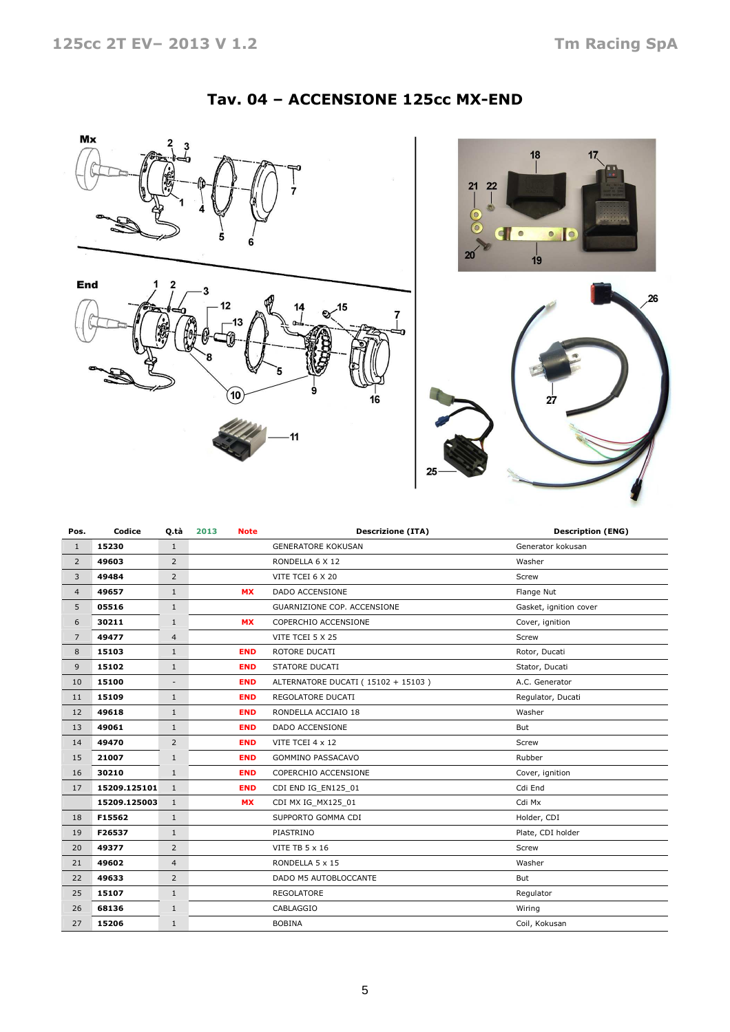#### Tav. 04 – ACCENSIONE 125cc MX-END







| Pos.           | Codice       | Q.tà           | 2013<br><b>Note</b> | <b>Descrizione (ITA)</b>           | <b>Description (ENG)</b> |
|----------------|--------------|----------------|---------------------|------------------------------------|--------------------------|
| $\mathbf{1}$   | 15230        | $\mathbf{1}$   |                     | <b>GENERATORE KOKUSAN</b>          | Generator kokusan        |
| $\overline{2}$ | 49603        | $\overline{2}$ |                     | RONDELLA 6 X 12                    | Washer                   |
| 3              | 49484        | $\overline{2}$ |                     | VITE TCEI 6 X 20                   | Screw                    |
| $\overline{4}$ | 49657        | $\mathbf{1}$   | <b>MX</b>           | <b>DADO ACCENSIONE</b>             | Flange Nut               |
| 5              | 05516        | $\mathbf{1}$   |                     | GUARNIZIONE COP. ACCENSIONE        | Gasket, ignition cover   |
| 6              | 30211        | $\mathbf{1}$   | <b>MX</b>           | COPERCHIO ACCENSIONE               | Cover, ignition          |
| $\overline{7}$ | 49477        | $\overline{4}$ |                     | VITE TCEI 5 X 25                   | Screw                    |
| 8              | 15103        | $\mathbf{1}$   | <b>END</b>          | ROTORE DUCATI                      | Rotor, Ducati            |
| 9              | 15102        | $\mathbf{1}$   | <b>END</b>          | STATORE DUCATI                     | Stator, Ducati           |
| 10             | 15100        |                | <b>END</b>          | ALTERNATORE DUCATI (15102 + 15103) | A.C. Generator           |
| 11             | 15109        | $\mathbf{1}$   | <b>END</b>          | REGOLATORE DUCATI                  | Regulator, Ducati        |
| 12             | 49618        | $\mathbf{1}$   | <b>END</b>          | RONDELLA ACCIAIO 18                | Washer                   |
| 13             | 49061        | $\mathbf{1}$   | <b>END</b>          | <b>DADO ACCENSIONE</b>             | But                      |
| 14             | 49470        | $\overline{2}$ | <b>END</b>          | VITE TCEI 4 x 12                   | Screw                    |
| 15             | 21007        | $\mathbf{1}$   | <b>END</b>          | <b>GOMMINO PASSACAVO</b>           | Rubber                   |
| 16             | 30210        | $\mathbf{1}$   | <b>END</b>          | COPERCHIO ACCENSIONE               | Cover, ignition          |
| 17             | 15209.125101 | $\mathbf{1}$   | <b>END</b>          | CDI END IG EN125 01                | Cdi End                  |
|                | 15209.125003 | $\mathbf{1}$   | <b>MX</b>           | CDI MX IG_MX125_01                 | Cdi Mx                   |
| 18             | F15562       | $\mathbf{1}$   |                     | SUPPORTO GOMMA CDI                 | Holder, CDI              |
| 19             | F26537       | $\mathbf{1}$   |                     | PIASTRINO                          | Plate, CDI holder        |
| 20             | 49377        | $\overline{2}$ |                     | <b>VITE TB 5 x 16</b>              | Screw                    |
| 21             | 49602        | $\overline{4}$ |                     | RONDELLA 5 x 15                    | Washer                   |
| 22             | 49633        | $\overline{2}$ |                     | DADO M5 AUTOBLOCCANTE              | But                      |
| 25             | 15107        | $\mathbf{1}$   |                     | <b>REGOLATORE</b>                  | Regulator                |
| 26             | 68136        | $\mathbf{1}$   |                     | CABLAGGIO                          | Wiring                   |
| 27             | 15206        | $\mathbf{1}$   |                     | <b>BOBINA</b>                      | Coil, Kokusan            |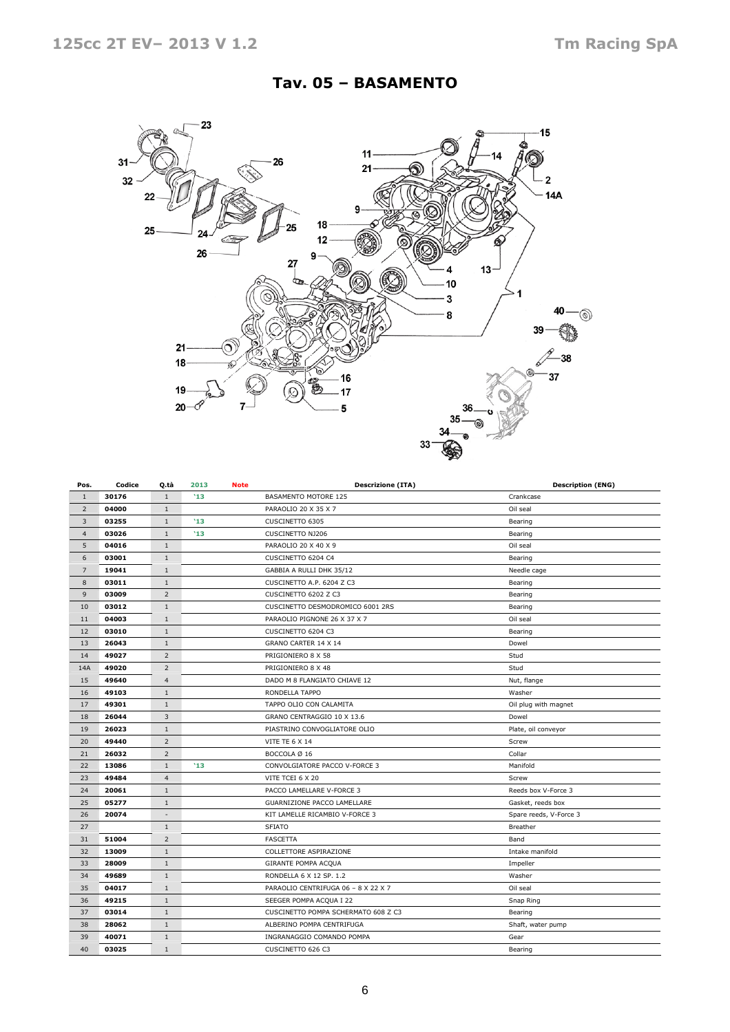## Tav. 05 – BASAMENTO



| Pos.           | Codice | Q.tà                     | 2013<br><b>Note</b> |  | <b>Descrizione (ITA)</b>            | <b>Description (ENG)</b> |
|----------------|--------|--------------------------|---------------------|--|-------------------------------------|--------------------------|
| $\mathbf{1}$   | 30176  | $1\,$                    | '13                 |  | BASAMENTO MOTORE 125                | Crankcase                |
| $\overline{2}$ | 04000  | $\mathbf{1}$             |                     |  | PARAOLIO 20 X 35 X 7                | Oil seal                 |
| 3              | 03255  | $1\,$                    | '13                 |  | CUSCINETTO 6305                     | Bearing                  |
| $\overline{4}$ | 03026  | $\mathbf{1}$             | '13                 |  | <b>CUSCINETTO NJ206</b>             | Bearing                  |
| 5              | 04016  | $\mathbf{1}$             |                     |  | PARAOLIO 20 X 40 X 9                | Oil seal                 |
| 6              | 03001  | $\mathbf{1}$             |                     |  | CUSCINETTO 6204 C4                  | Bearing                  |
| $\overline{7}$ | 19041  | $\mathbf{1}$             |                     |  | GABBIA A RULLI DHK 35/12            | Needle cage              |
| 8              | 03011  | $1\,$                    |                     |  | CUSCINETTO A.P. 6204 Z C3           | Bearing                  |
| 9              | 03009  | $\overline{2}$           |                     |  | CUSCINETTO 6202 Z C3                | Bearing                  |
| 10             | 03012  | 1                        |                     |  | CUSCINETTO DESMODROMICO 6001 2RS    | Bearing                  |
| 11             | 04003  | $\mathbf{1}$             |                     |  | PARAOLIO PIGNONE 26 X 37 X 7        | Oil seal                 |
| 12             | 03010  | $1\,$                    |                     |  | CUSCINETTO 6204 C3                  | Bearing                  |
| 13             | 26043  | $\mathbf{1}$             |                     |  | GRANO CARTER 14 X 14                | Dowel                    |
| 14             | 49027  | $\overline{2}$           |                     |  | PRIGIONIERO 8 X 58                  | Stud                     |
| 14A            | 49020  | $\overline{2}$           |                     |  | PRIGIONIERO 8 X 48                  | Stud                     |
| 15             | 49640  | $\overline{4}$           |                     |  | DADO M 8 FLANGIATO CHIAVE 12        | Nut, flange              |
| 16             | 49103  | $\mathbf{1}$             |                     |  | RONDELLA TAPPO                      | Washer                   |
| 17             | 49301  | $\mathbf{1}$             |                     |  | TAPPO OLIO CON CALAMITA             | Oil plug with magnet     |
| 18             | 26044  | 3                        |                     |  | GRANO CENTRAGGIO 10 X 13.6          | Dowel                    |
| 19             | 26023  | $\mathbf{1}$             |                     |  | PIASTRINO CONVOGLIATORE OLIO        | Plate, oil conveyor      |
| 20             | 49440  | $\overline{2}$           |                     |  | <b>VITE TE 6 X 14</b>               | Screw                    |
| 21             | 26032  | 2                        |                     |  | BOCCOLA Ø 16                        | Collar                   |
| 22             | 13086  | $\mathbf{1}$             | '13                 |  | CONVOLGIATORE PACCO V-FORCE 3       | Manifold                 |
| 23             | 49484  | $\overline{4}$           |                     |  | VITE TCEI 6 X 20                    | Screw                    |
| 24             | 20061  | $1\,$                    |                     |  | PACCO LAMELLARE V-FORCE 3           | Reeds box V-Force 3      |
| 25             | 05277  | $\mathbf{1}$             |                     |  | GUARNIZIONE PACCO LAMELLARE         | Gasket, reeds box        |
| 26             | 20074  | $\overline{\phantom{a}}$ |                     |  | KIT LAMELLE RICAMBIO V-FORCE 3      | Spare reeds, V-Force 3   |
| 27             |        | $1\,$                    |                     |  | <b>SFIATO</b>                       | Breather                 |
| 31             | 51004  | $\overline{2}$           |                     |  | <b>FASCETTA</b>                     | Band                     |
| 32             | 13009  | $\mathbf{1}$             |                     |  | COLLETTORE ASPIRAZIONE              | Intake manifold          |
| 33             | 28009  | $\mathbf{1}$             |                     |  | GIRANTE POMPA ACQUA                 | Impeller                 |
| 34             | 49689  | $1\,$                    |                     |  | RONDELLA 6 X 12 SP. 1.2             | Washer                   |
| 35             | 04017  | $\,1\,$                  |                     |  | PARAOLIO CENTRIFUGA 06 - 8 X 22 X 7 | Oil seal                 |
| 36             | 49215  | $\mathbf{1}$             |                     |  | SEEGER POMPA ACQUA I 22             | Snap Ring                |
| 37             | 03014  | $\mathbf{1}$             |                     |  | CUSCINETTO POMPA SCHERMATO 608 Z C3 | Bearing                  |
| 38             | 28062  | $1\,$                    |                     |  | ALBERINO POMPA CENTRIFUGA           | Shaft, water pump        |
| 39             | 40071  | $\mathbf{1}$             |                     |  | INGRANAGGIO COMANDO POMPA           | Gear                     |
| 40             | 03025  | $\mathbf{1}$             |                     |  | CUSCINETTO 626 C3                   | Bearing                  |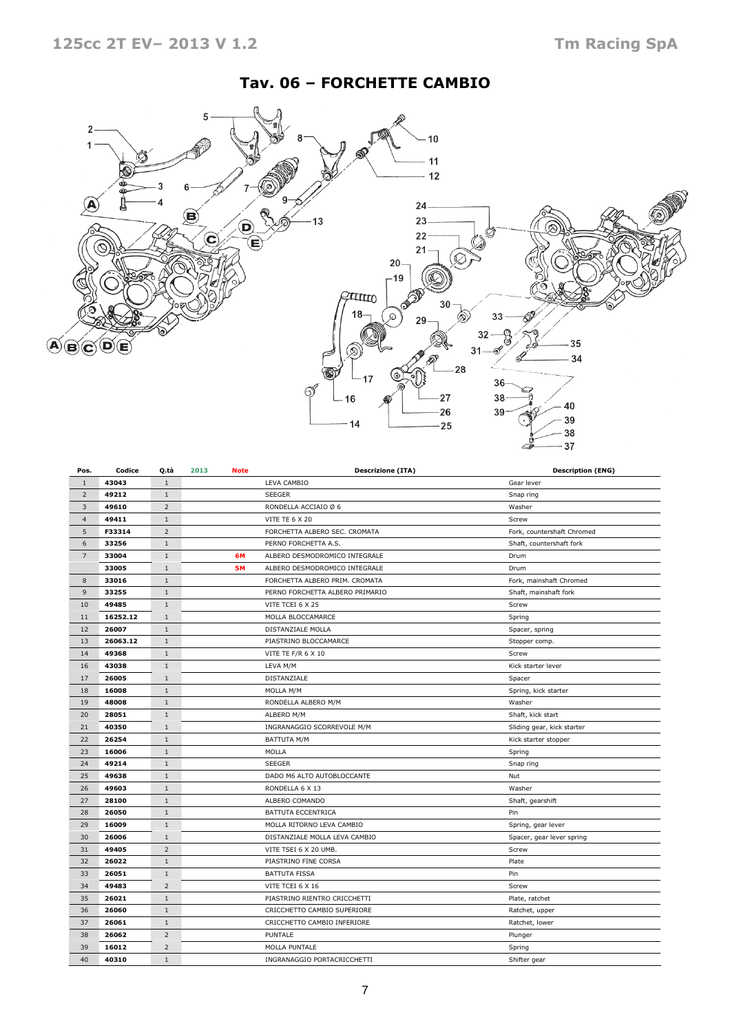## Tav. 06 – FORCHETTE CAMBIO



| Pos.           | Codice   | Q.tà           | 2013 | <b>Note</b> | <b>Descrizione (ITA)</b>        | <b>Description (ENG)</b>   |
|----------------|----------|----------------|------|-------------|---------------------------------|----------------------------|
| $\mathbf{1}$   | 43043    | $1\,$          |      |             | LEVA CAMBIO                     | Gear lever                 |
| $\overline{2}$ | 49212    | $\mathbf{1}$   |      |             | <b>SEEGER</b>                   | Snap ring                  |
| 3              | 49610    | $\overline{2}$ |      |             | RONDELLA ACCIAIO Ø 6            | Washer                     |
| $\overline{4}$ | 49411    | $1\,$          |      |             | VITE TE 6 X 20                  | Screw                      |
| 5              | F33314   | $\overline{2}$ |      |             | FORCHETTA ALBERO SEC. CROMATA   | Fork, countershaft Chromed |
| 6              | 33256    | $1\,$          |      |             | PERNO FORCHETTA A.S.            | Shaft, countershaft fork   |
| $\overline{7}$ | 33004    | $1\,$          |      | 6M          | ALBERO DESMODROMICO INTEGRALE   | Drum                       |
|                | 33005    | $\mathbf{1}$   |      | <b>5M</b>   | ALBERO DESMODROMICO INTEGRALE   | Drum                       |
| 8              | 33016    | $1\,$          |      |             | FORCHETTA ALBERO PRIM. CROMATA  | Fork, mainshaft Chromed    |
| 9              | 33255    | $1\,$          |      |             | PERNO FORCHETTA ALBERO PRIMARIO | Shaft, mainshaft fork      |
| 10             | 49485    | $\mathbf{1}$   |      |             | VITE TCEI 6 X 25                | Screw                      |
| 11             | 16252.12 | $\mathbf{1}$   |      |             | MOLLA BLOCCAMARCE               | Spring                     |
| 12             | 26007    | $1\,$          |      |             | DISTANZIALE MOLLA               | Spacer, spring             |
| 13             | 26063.12 | $1\,$          |      |             | PIASTRINO BLOCCAMARCE           | Stopper comp.              |
| 14             | 49368    | $\mathbf{1}$   |      |             | VITE TE F/R 6 X 10              | Screw                      |
| 16             | 43038    | $1\,$          |      |             | LEVA M/M                        | Kick starter lever         |
| 17             | 26005    | $\mathbf{1}$   |      |             | DISTANZIALE                     | Spacer                     |
| 18             | 16008    | $\mathbf{1}$   |      |             | MOLLA M/M                       | Spring, kick starter       |
| 19             | 48008    | $\,1\,$        |      |             | RONDELLA ALBERO M/M             | Washer                     |
| 20             | 28051    | $1\,$          |      |             | ALBERO M/M                      | Shaft, kick start          |
| 21             | 40350    | $1\,$          |      |             | INGRANAGGIO SCORREVOLE M/M      | Sliding gear, kick starter |
| 22             | 26254    | $1\,$          |      |             | <b>BATTUTA M/M</b>              | Kick starter stopper       |
| 23             | 16006    | $\mathbf{1}$   |      |             | MOLLA                           | Spring                     |
| 24             | 49214    | $1\,$          |      |             | <b>SEEGER</b>                   | Snap ring                  |
| 25             | 49638    | $1\,$          |      |             | DADO M6 ALTO AUTOBLOCCANTE      | Nut                        |
| 26             | 49603    | $\mathbf{1}$   |      |             | RONDELLA 6 X 13                 | Washer                     |
| 27             | 28100    | $\mathbf{1}$   |      |             | ALBERO COMANDO                  | Shaft, gearshift           |
| 28             | 26050    | $1\,$          |      |             | BATTUTA ECCENTRICA              | Pin                        |
| 29             | 16009    | $\mathbf{1}$   |      |             | MOLLA RITORNO LEVA CAMBIO       | Spring, gear lever         |
| 30             | 26006    | $\mathbf{1}$   |      |             | DISTANZIALE MOLLA LEVA CAMBIO   | Spacer, gear lever spring  |
| 31             | 49405    | $\overline{2}$ |      |             | VITE TSEI 6 X 20 UMB.           | Screw                      |
| 32             | 26022    | $1\,$          |      |             | PIASTRINO FINE CORSA            | Plate                      |
| 33             | 26051    | $\mathbf{1}$   |      |             | <b>BATTUTA FISSA</b>            | Pin                        |
| 34             | 49483    | $\overline{2}$ |      |             | VITE TCEI 6 X 16                | Screw                      |
| 35             | 26021    | $1\,$          |      |             | PIASTRINO RIENTRO CRICCHETTI    | Plate, ratchet             |
| 36             | 26060    | $\mathbf{1}$   |      |             | CRICCHETTO CAMBIO SUPERIORE     | Ratchet, upper             |
| 37             | 26061    | $1\,$          |      |             | CRICCHETTO CAMBIO INFERIORE     | Ratchet, lower             |
| 38             | 26062    | $\overline{2}$ |      |             | PUNTALE                         | Plunger                    |
| 39             | 16012    | $\overline{2}$ |      |             | MOLLA PUNTALE                   | Spring                     |
| 40             | 40310    | $\mathbf{1}$   |      |             | INGRANAGGIO PORTACRICCHETTI     | Shifter gear               |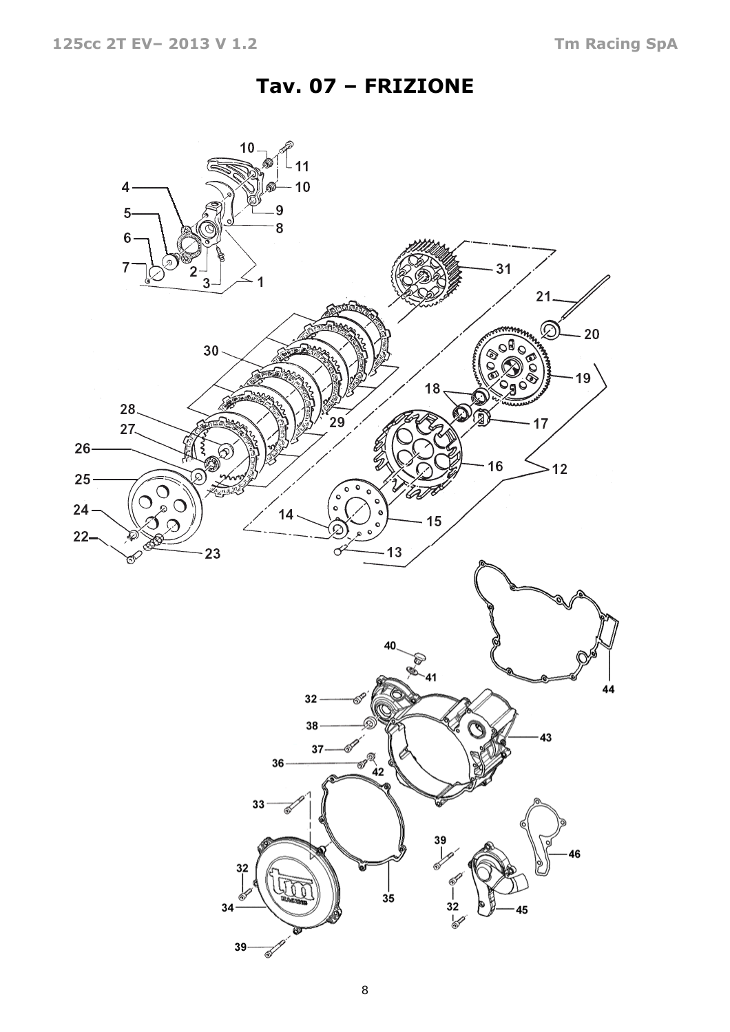# Tav. 07 – FRIZIONE

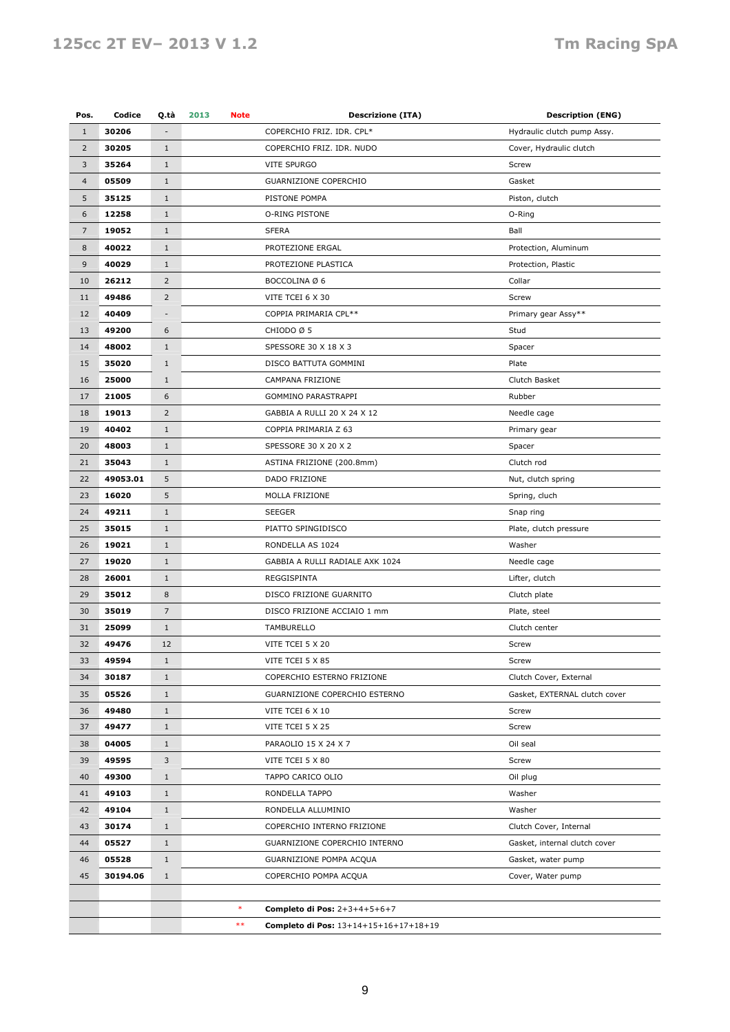## 125cc 2T EV– 2013 V 1.2 Tm Racing SpA

| Pos.           | Codice   | Q.tà                     | 2013<br>Note | <b>Descrizione (ITA)</b>              | <b>Description (ENG)</b>      |
|----------------|----------|--------------------------|--------------|---------------------------------------|-------------------------------|
| $\mathbf{1}$   | 30206    |                          |              | COPERCHIO FRIZ. IDR. CPL*             | Hydraulic clutch pump Assy.   |
| $\overline{2}$ | 30205    | $\mathbf{1}$             |              | COPERCHIO FRIZ. IDR. NUDO             | Cover, Hydraulic clutch       |
| $\mathbf{3}$   | 35264    | $1\,$                    |              | VITE SPURGO                           | Screw                         |
| $\overline{4}$ | 05509    | $\mathbf{1}$             |              | GUARNIZIONE COPERCHIO                 | Gasket                        |
| 5              | 35125    | $\mathbf{1}$             |              | PISTONE POMPA                         | Piston, clutch                |
| 6              | 12258    | $\mathbf{1}$             |              | O-RING PISTONE                        | O-Ring                        |
| $\overline{7}$ | 19052    | $1\,$                    |              | <b>SFERA</b>                          | Ball                          |
| $\bf 8$        | 40022    | $\mathbf{1}$             |              | PROTEZIONE ERGAL                      | Protection, Aluminum          |
| 9              | 40029    | $\mathbf{1}$             |              | PROTEZIONE PLASTICA                   | Protection, Plastic           |
| 10             | 26212    | $\overline{2}$           |              | BOCCOLINA Ø 6                         | Collar                        |
| 11             | 49486    | $\overline{2}$           |              | VITE TCEI 6 X 30                      | Screw                         |
| 12             | 40409    | $\overline{\phantom{m}}$ |              | COPPIA PRIMARIA CPL**                 | Primary gear Assy**           |
| 13             | 49200    | 6                        |              | CHIODO Ø 5                            | Stud                          |
|                |          |                          |              |                                       |                               |
| 14             | 48002    | $1\,$                    |              | SPESSORE 30 X 18 X 3                  | Spacer                        |
| 15             | 35020    | $1\,$                    |              | DISCO BATTUTA GOMMINI                 | Plate                         |
| 16             | 25000    | $\mathbf{1}$             |              | CAMPANA FRIZIONE                      | Clutch Basket                 |
| 17             | 21005    | 6                        |              | GOMMINO PARASTRAPPI                   | Rubber                        |
| 18             | 19013    | 2                        |              | GABBIA A RULLI 20 X 24 X 12           | Needle cage                   |
| 19             | 40402    | $1\,$                    |              | COPPIA PRIMARIA Z 63                  | Primary gear                  |
| 20             | 48003    | $\mathbf{1}$             |              | SPESSORE 30 X 20 X 2                  | Spacer                        |
| 21             | 35043    | $\mathbf{1}$             |              | ASTINA FRIZIONE (200.8mm)             | Clutch rod                    |
| 22             | 49053.01 | 5                        |              | DADO FRIZIONE                         | Nut, clutch spring            |
| 23             | 16020    | 5                        |              | MOLLA FRIZIONE                        | Spring, cluch                 |
| 24             | 49211    | $1\,$                    |              | <b>SEEGER</b>                         | Snap ring                     |
| 25             | 35015    | $\mathbf{1}$             |              | PIATTO SPINGIDISCO                    | Plate, clutch pressure        |
| 26             | 19021    | $\mathbf{1}$             |              | RONDELLA AS 1024                      | Washer                        |
| 27             | 19020    | $1\,$                    |              | GABBIA A RULLI RADIALE AXK 1024       | Needle cage                   |
| 28             | 26001    | $\mathbf{1}$             |              | REGGISPINTA                           | Lifter, clutch                |
| 29             | 35012    | 8                        |              | DISCO FRIZIONE GUARNITO               | Clutch plate                  |
| 30             | 35019    | $\overline{7}$           |              | DISCO FRIZIONE ACCIAIO 1 mm           | Plate, steel                  |
| 31             | 25099    | $1\,$                    |              | TAMBURELLO                            | Clutch center                 |
| 32             | 49476    | 12                       |              | VITE TCEI 5 X 20                      | Screw                         |
| 33             | 49594    | $\mathbf 1$              |              | VITE TCEI 5 X 85                      | Screw                         |
| 34             | 30187    | $\mathbf{1}$             |              | COPERCHIO ESTERNO FRIZIONE            | Clutch Cover, External        |
| 35             | 05526    | $\mathbf{1}$             |              | GUARNIZIONE COPERCHIO ESTERNO         | Gasket, EXTERNAL clutch cover |
| 36             | 49480    | $\mathbf{1}$             |              | VITE TCEI 6 X 10                      | Screw                         |
| 37             | 49477    | $1\,$                    |              | VITE TCEI 5 X 25                      | Screw                         |
| 38             | 04005    | $\mathbf{1}$             |              | PARAOLIO 15 X 24 X 7                  | Oil seal                      |
| 39             | 49595    | 3                        |              | VITE TCEI 5 X 80                      | Screw                         |
| 40             | 49300    | $\mathbf{1}$             |              | TAPPO CARICO OLIO                     | Oil plug                      |
| 41             | 49103    | $\mathbf{1}$             |              | RONDELLA TAPPO                        | Washer                        |
| 42             | 49104    | $\mathbf{1}$             |              | RONDELLA ALLUMINIO                    | Washer                        |
| 43             | 30174    | $\mathbf{1}$             |              | COPERCHIO INTERNO FRIZIONE            | Clutch Cover, Internal        |
| 44             | 05527    | $\mathbf{1}$             |              | GUARNIZIONE COPERCHIO INTERNO         | Gasket, internal clutch cover |
| 46             | 05528    | $1\,$                    |              | GUARNIZIONE POMPA ACQUA               | Gasket, water pump            |
| 45             | 30194.06 | $\mathbf{1}$             |              | COPERCHIO POMPA ACQUA                 | Cover, Water pump             |
|                |          |                          |              |                                       |                               |
|                |          |                          | $\ast$       | Completo di Pos: 2+3+4+5+6+7          |                               |
|                |          |                          | $***$        | Completo di Pos: 13+14+15+16+17+18+19 |                               |
|                |          |                          |              |                                       |                               |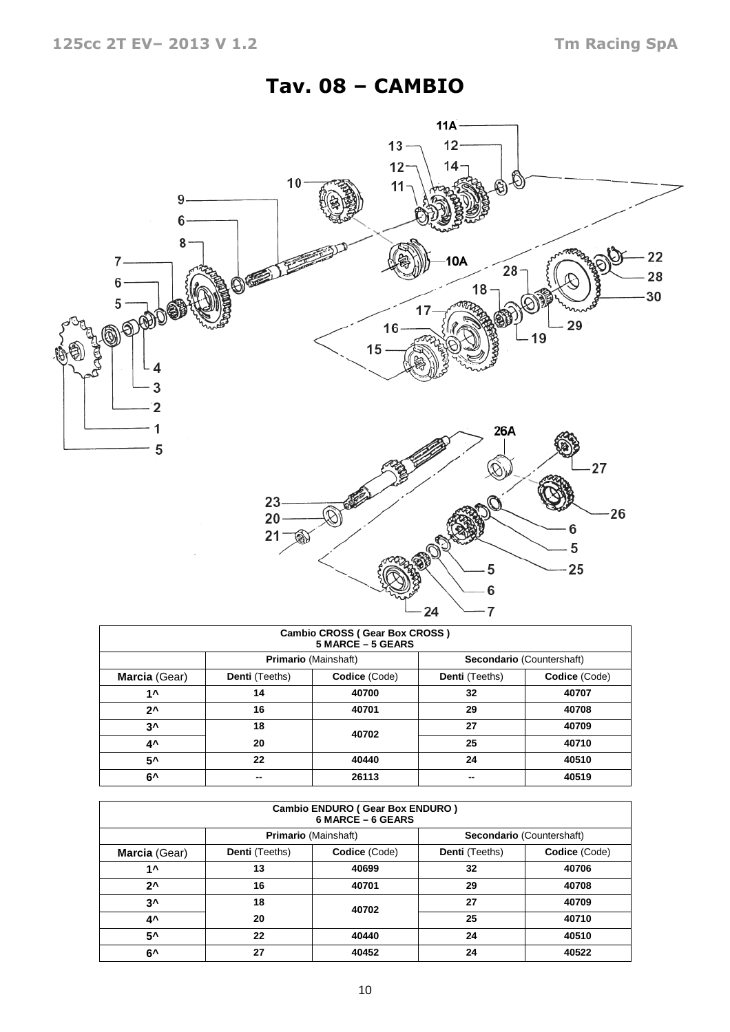# Tav. 08 – CAMBIO



| Cambio CROSS (Gear Box CROSS)<br>5 MARCE - 5 GEARS |                |                             |                |                           |  |  |  |  |  |  |  |
|----------------------------------------------------|----------------|-----------------------------|----------------|---------------------------|--|--|--|--|--|--|--|
|                                                    |                | <b>Primario (Mainshaft)</b> |                | Secondario (Countershaft) |  |  |  |  |  |  |  |
| Marcia (Gear)                                      | Denti (Teeths) | Codice (Code)               | Denti (Teeths) | Codice (Code)             |  |  |  |  |  |  |  |
| 1^                                                 | 14             | 40700                       | 32             | 40707                     |  |  |  |  |  |  |  |
| $2^{\lambda}$                                      | 16             | 40701                       | 29             | 40708                     |  |  |  |  |  |  |  |
| 3^                                                 | 18             | 40702                       | 27             | 40709                     |  |  |  |  |  |  |  |
| 4^                                                 | 20             |                             | 25             | 40710                     |  |  |  |  |  |  |  |
| 5۸                                                 | 22             | 40440                       | 24             | 40510                     |  |  |  |  |  |  |  |
| 6^                                                 | --             | 26113                       |                | 40519                     |  |  |  |  |  |  |  |

| <b>Cambio ENDURO (Gear Box ENDURO)</b><br>6 MARCE - 6 GEARS |                       |                                                          |                |               |  |  |  |  |  |  |  |
|-------------------------------------------------------------|-----------------------|----------------------------------------------------------|----------------|---------------|--|--|--|--|--|--|--|
|                                                             |                       | <b>Primario</b> (Mainshaft)<br>Secondario (Countershaft) |                |               |  |  |  |  |  |  |  |
| Marcia (Gear)                                               | <b>Denti</b> (Teeths) | Codice (Code)                                            | Denti (Teeths) | Codice (Code) |  |  |  |  |  |  |  |
| 1 ^                                                         | 13                    | 40699                                                    | 32             | 40706         |  |  |  |  |  |  |  |
| $2^{\lambda}$                                               | 16                    | 40701                                                    | 29             | 40708         |  |  |  |  |  |  |  |
| $3^{\lambda}$                                               | 18                    | 40702                                                    | 27             | 40709         |  |  |  |  |  |  |  |
| 4^                                                          | 20                    |                                                          | 25             | 40710         |  |  |  |  |  |  |  |
| 5^                                                          | 22                    | 40440                                                    | 24             | 40510         |  |  |  |  |  |  |  |
| 6^                                                          | 27                    | 40452                                                    | 24             | 40522         |  |  |  |  |  |  |  |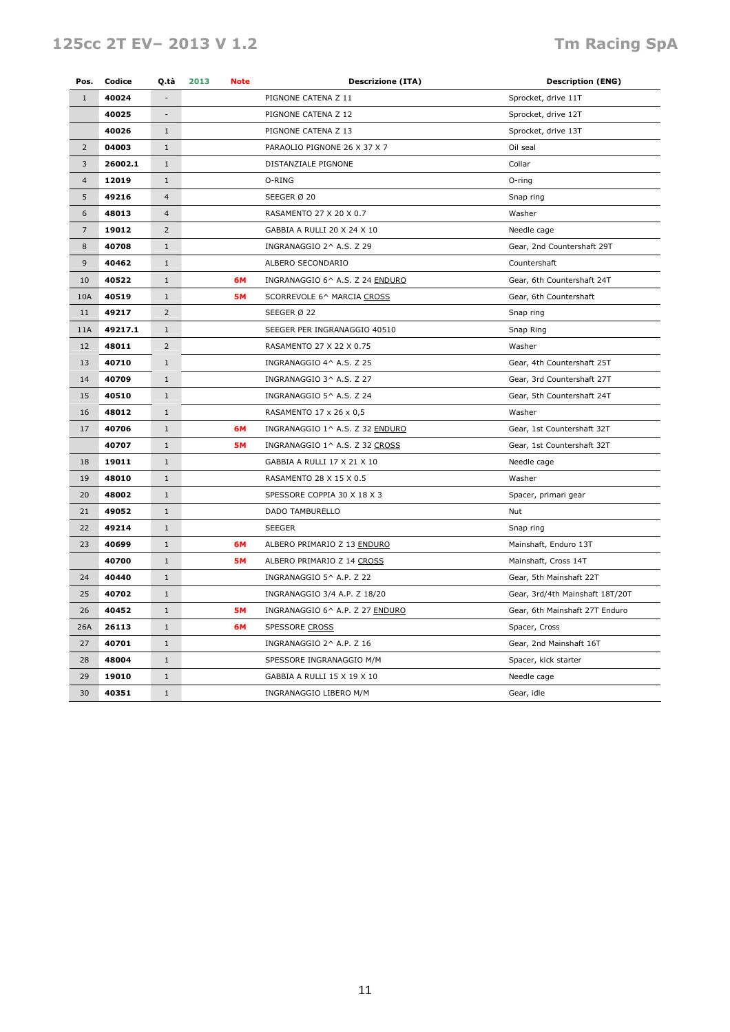## 125cc 2T EV– 2013 V 1.2 Tm Racing SpA

| Pos.           | Codice  | Q.tà                     | 2013<br><b>Note</b> |  | <b>Descrizione (ITA)</b>        | <b>Description (ENG)</b>        |
|----------------|---------|--------------------------|---------------------|--|---------------------------------|---------------------------------|
| $\mathbf{1}$   | 40024   |                          |                     |  | PIGNONE CATENA Z 11             | Sprocket, drive 11T             |
|                | 40025   | $\overline{\phantom{a}}$ |                     |  | PIGNONE CATENA Z 12             | Sprocket, drive 12T             |
|                | 40026   | $\mathbf{1}$             |                     |  | PIGNONE CATENA Z 13             | Sprocket, drive 13T             |
| $\overline{2}$ | 04003   | $\mathbf{1}$             |                     |  | PARAOLIO PIGNONE 26 X 37 X 7    | Oil seal                        |
| 3              | 26002.1 | $\mathbf{1}$             |                     |  | DISTANZIALE PIGNONE             | Collar                          |
| $\overline{4}$ | 12019   | $\mathbf{1}$             |                     |  | O-RING                          | O-ring                          |
| 5              | 49216   | $\overline{4}$           |                     |  | SEEGER Ø 20                     | Snap ring                       |
| 6              | 48013   | $\overline{4}$           |                     |  | RASAMENTO 27 X 20 X 0.7         | Washer                          |
| $\overline{7}$ | 19012   | 2                        |                     |  | GABBIA A RULLI 20 X 24 X 10     | Needle cage                     |
| 8              | 40708   | $\mathbf{1}$             |                     |  | INGRANAGGIO 2^ A.S. Z 29        | Gear, 2nd Countershaft 29T      |
| 9              | 40462   | $\mathbf{1}$             |                     |  | ALBERO SECONDARIO               | Countershaft                    |
| 10             | 40522   | $1\,$                    | 6M                  |  | INGRANAGGIO 6^ A.S. Z 24 ENDURO | Gear, 6th Countershaft 24T      |
| 10A            | 40519   | $\mathbf{1}$             | 5M                  |  | SCORREVOLE 6^ MARCIA CROSS      | Gear, 6th Countershaft          |
| 11             | 49217   | $\overline{2}$           |                     |  | SEEGER Ø 22                     | Snap ring                       |
| 11A            | 49217.1 | $\mathbf{1}$             |                     |  | SEEGER PER INGRANAGGIO 40510    | Snap Ring                       |
| 12             | 48011   | $\overline{2}$           |                     |  | RASAMENTO 27 X 22 X 0.75        | Washer                          |
| 13             | 40710   | $1\,$                    |                     |  | INGRANAGGIO 4^ A.S. Z 25        | Gear, 4th Countershaft 25T      |
| 14             | 40709   | $\,1\,$                  |                     |  | INGRANAGGIO 3^ A.S. Z 27        | Gear, 3rd Countershaft 27T      |
| 15             | 40510   | $1\,$                    |                     |  | INGRANAGGIO 5^ A.S. Z 24        | Gear, 5th Countershaft 24T      |
| 16             | 48012   | $\mathbf{1}$             |                     |  | RASAMENTO 17 x 26 x 0,5         | Washer                          |
| 17             | 40706   | $\mathbf{1}$             | 6M                  |  | INGRANAGGIO 1^ A.S. Z 32 ENDURO | Gear, 1st Countershaft 32T      |
|                | 40707   | $\mathbf{1}$             | <b>5M</b>           |  | INGRANAGGIO 1^ A.S. Z 32 CROSS  | Gear, 1st Countershaft 32T      |
| 18             | 19011   | $\mathbf{1}$             |                     |  | GABBIA A RULLI 17 X 21 X 10     | Needle cage                     |
| 19             | 48010   | $1\,$                    |                     |  | RASAMENTO 28 X 15 X 0.5         | Washer                          |
| 20             | 48002   | $\mathbf{1}$             |                     |  | SPESSORE COPPIA 30 X 18 X 3     | Spacer, primari gear            |
| 21             | 49052   | $\mathbf{1}$             |                     |  | DADO TAMBURELLO                 | Nut                             |
| 22             | 49214   | $1\,$                    |                     |  | <b>SEEGER</b>                   | Snap ring                       |
| 23             | 40699   | $\mathbf{1}$             | 6M                  |  | ALBERO PRIMARIO Z 13 ENDURO     | Mainshaft, Enduro 13T           |
|                | 40700   | $\mathbf{1}$             | <b>5M</b>           |  | ALBERO PRIMARIO Z 14 CROSS      | Mainshaft, Cross 14T            |
| 24             | 40440   | $\mathbf{1}$             |                     |  | INGRANAGGIO 5^ A.P. Z 22        | Gear, 5th Mainshaft 22T         |
| 25             | 40702   | $\mathbf{1}$             |                     |  | INGRANAGGIO 3/4 A.P. Z 18/20    | Gear, 3rd/4th Mainshaft 18T/20T |
| 26             | 40452   | $\mathbf{1}$             | <b>5M</b>           |  | INGRANAGGIO 6^ A.P. Z 27 ENDURO | Gear, 6th Mainshaft 27T Enduro  |
| 26A            | 26113   | $\mathbf{1}$             | 6M                  |  | SPESSORE CROSS                  | Spacer, Cross                   |
| 27             | 40701   | $\mathbf{1}$             |                     |  | INGRANAGGIO 2^ A.P. Z 16        | Gear, 2nd Mainshaft 16T         |
| 28             | 48004   | $\mathbf{1}$             |                     |  | SPESSORE INGRANAGGIO M/M        | Spacer, kick starter            |
| 29             | 19010   | $\mathbf{1}$             |                     |  | GABBIA A RULLI 15 X 19 X 10     | Needle cage                     |
| 30             | 40351   | $1\,$                    |                     |  | INGRANAGGIO LIBERO M/M          | Gear, idle                      |